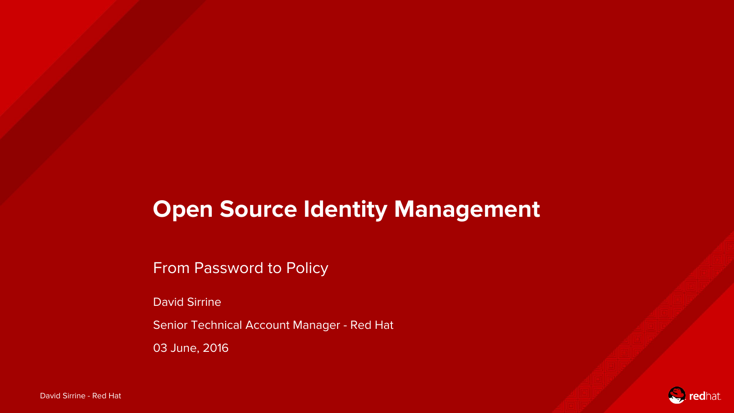#### **Open Source Identity Management**

From Password to Policy

David Sirrine

Senior Technical Account Manager - Red Hat

03 June, 2016

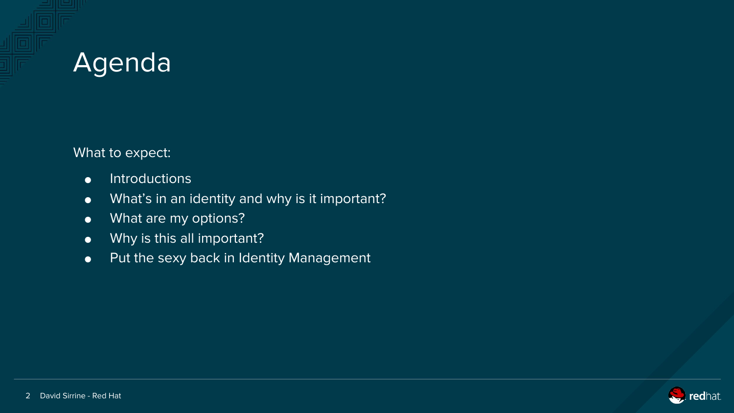

What to expect:

- Introductions
- What's in an identity and why is it important?
- What are my options?
- Why is this all important?
- Put the sexy back in Identity Management

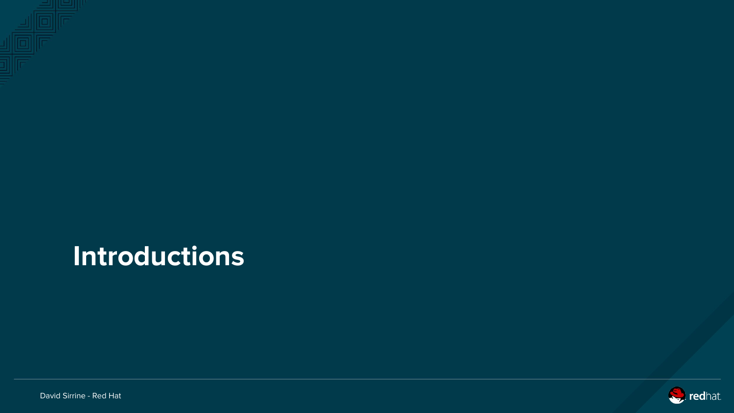

### **Introductions**



David Sirrine - Red Hat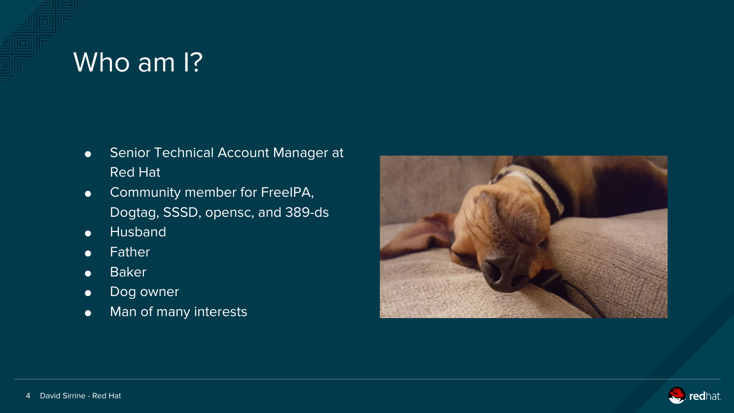#### Who am I?

- Senior Technical Account Manager at Red Hat
- **•** Community member for FreeIPA, Dogtag, SSSD, opensc, and 389-ds
- Husband
- Father
- Baker
- Dog owner
- Man of many interests



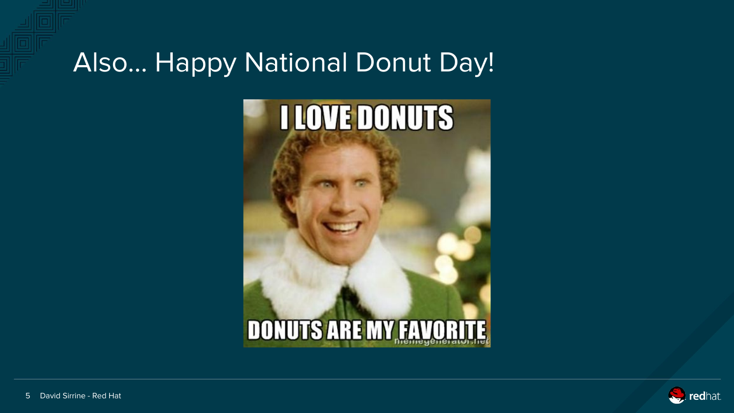#### Also… Happy National Donut Day!



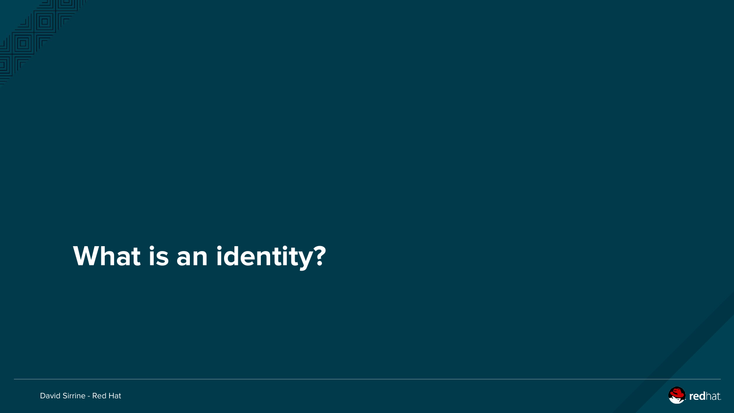

# **What is an identity?**



David Sirrine - Red Hat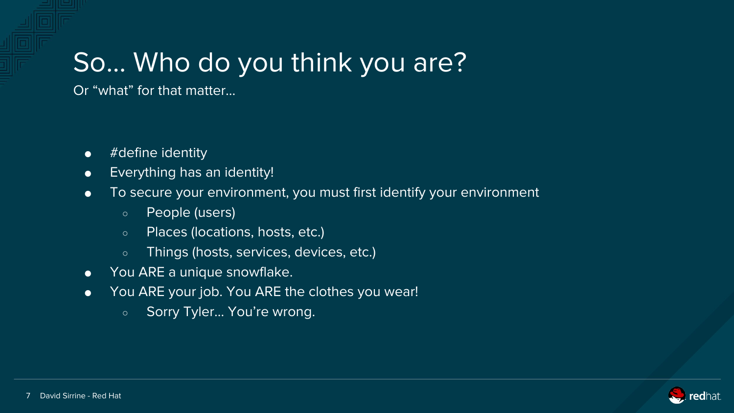# So… Who do you think you are?

Or "what" for that matter...

- #define identity
- Everything has an identity!
- To secure your environment, you must first identify your environment
	- People (users)
	- Places (locations, hosts, etc.)
	- Things (hosts, services, devices, etc.)
- You ARE a unique snowflake.
- You ARE your job. You ARE the clothes you wear!
	- Sorry Tyler... You're wrong.

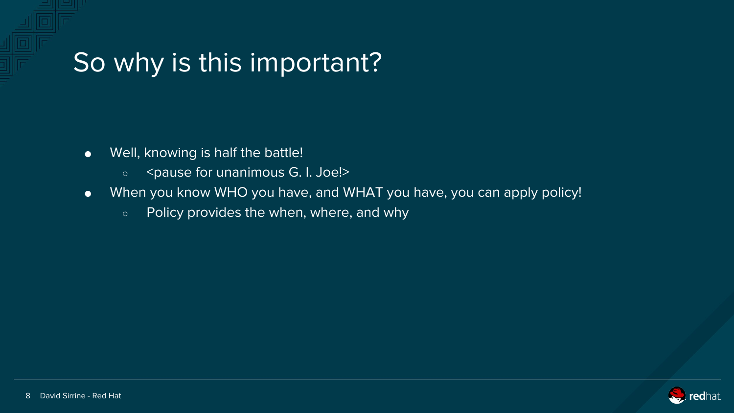#### So why is this important?

- Well, knowing is half the battle!
	- o <pause for unanimous G. I. Joe!>
- When you know WHO you have, and WHAT you have, you can apply policy!
	- Policy provides the when, where, and why

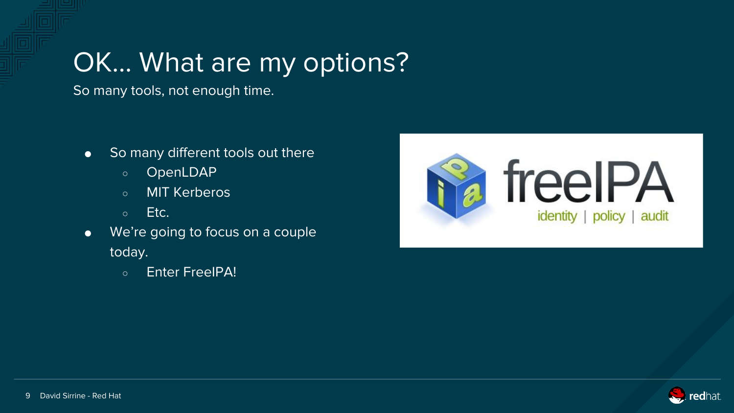# OK… What are my options?

So many tools, not enough time.

- So many different tools out there
	- OpenLDAP
	- MIT Kerberos
	- Etc.
- We're going to focus on a couple today.
	- Enter FreeIPA!



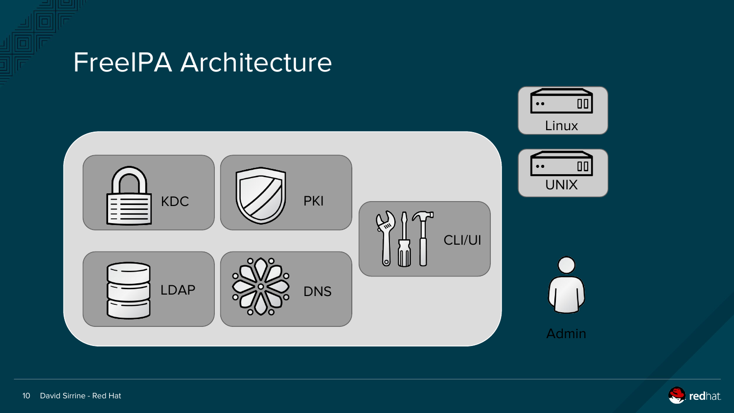

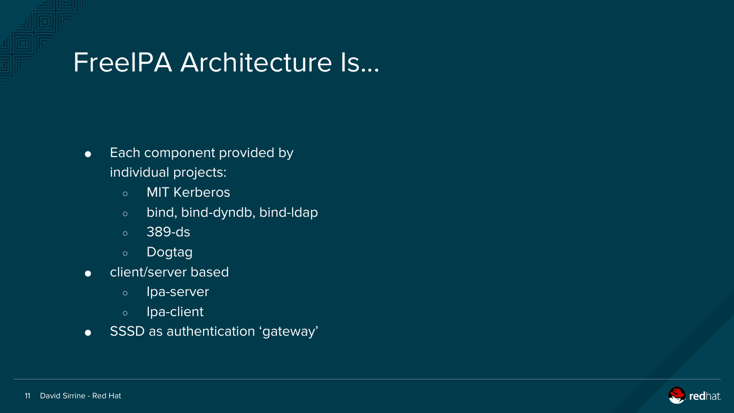#### FreeIPA Architecture Is...

- Each component provided by individual projects:
	- MIT Kerberos
	- bind, bind-dyndb, bind-ldap
	- 389-ds
	- Dogtag
- client/server based
	- Ipa-server
	- Ipa-client
- SSSD as authentication 'gateway'

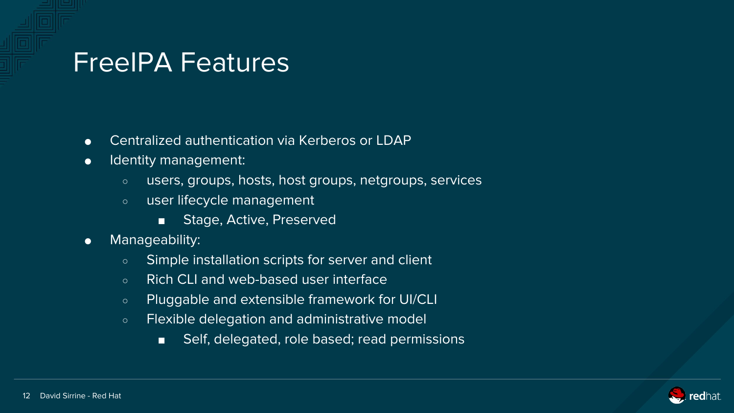#### FreeIPA Features

- Centralized authentication via Kerberos or LDAP
- Identity management:
	- users, groups, hosts, host groups, netgroups, services
	- user lifecycle management
		- Stage, Active, Preserved
- Manageability:
	- Simple installation scripts for server and client
	- Rich CLI and web-based user interface
	- Pluggable and extensible framework for UI/CLI
	- Flexible delegation and administrative model
		- Self, delegated, role based; read permissions

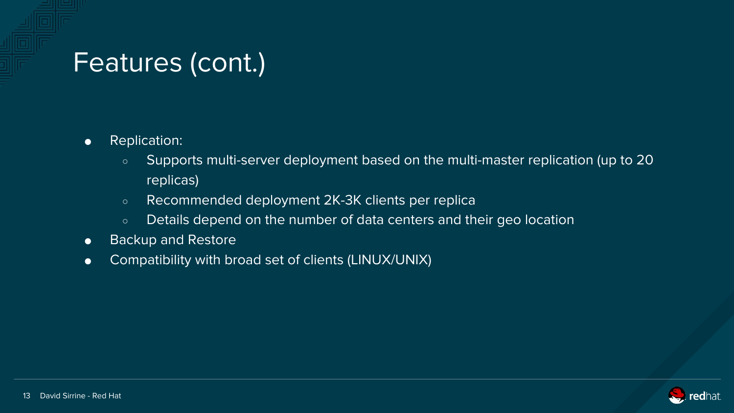### Features (cont.)

- Replication:
	- Supports multi-server deployment based on the multi-master replication (up to 20 replicas)
	- Recommended deployment 2K-3K clients per replica
	- o Details depend on the number of data centers and their geo location
- Backup and Restore
- Compatibility with broad set of clients (LINUX/UNIX)

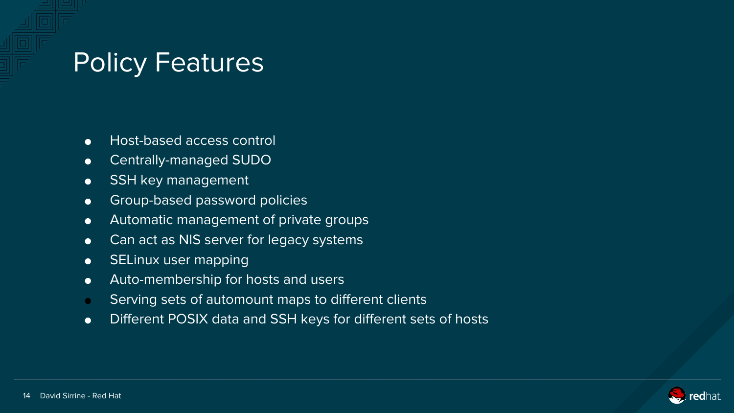#### Policy Features

- Host-based access control
- Centrally-managed SUDO
- SSH key management
- **•** Group-based password policies
- Automatic management of private groups
- Can act as NIS server for legacy systems
- SELinux user mapping
- Auto-membership for hosts and users
- Serving sets of automount maps to different clients
- Different POSIX data and SSH keys for different sets of hosts

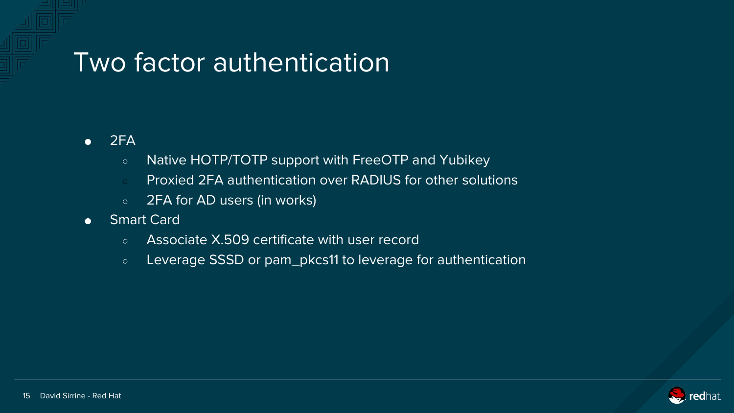#### Two factor authentication

- $\bullet$  2FA
	- Native HOTP/TOTP support with FreeOTP and Yubikey
	- Proxied 2FA authentication over RADIUS for other solutions
	- 2FA for AD users (in works)
- Smart Card
	- Associate X.509 certificate with user record
	- Leverage SSSD or pam\_pkcs11 to leverage for authentication

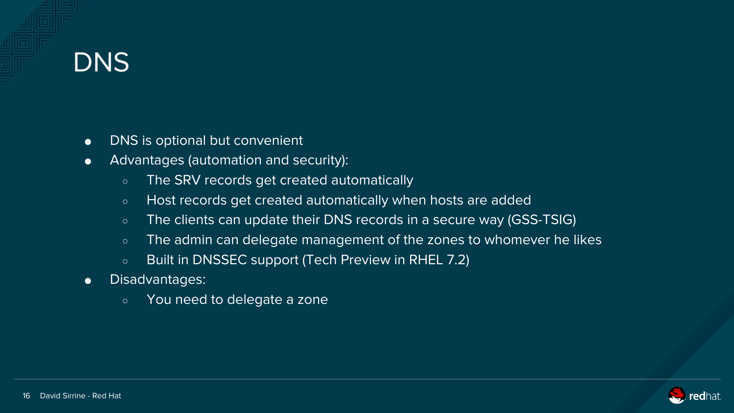# **DNS**

- DNS is optional but convenient
- Advantages (automation and security):
	- The SRV records get created automatically
	- Host records get created automatically when hosts are added
	- The clients can update their DNS records in a secure way (GSS-TSIG)
	- The admin can delegate management of the zones to whomever he likes
	- Built in DNSSEC support (Tech Preview in RHEL 7.2)
- Disadvantages:
	- You need to delegate a zone

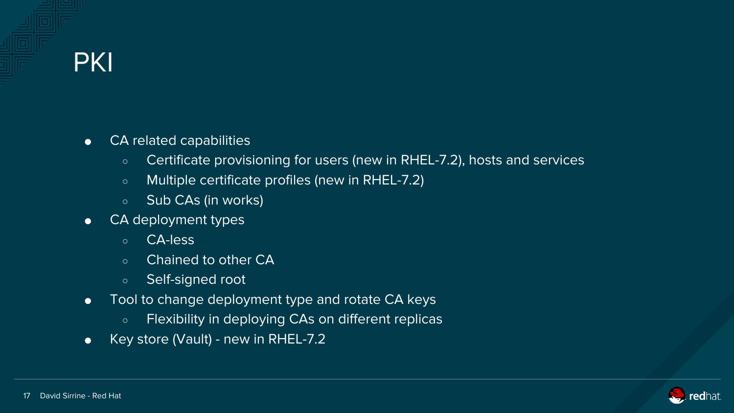#### **PKI**

- CA related capabilities
	- Certificate provisioning for users (new in RHEL-7.2), hosts and services
	- Multiple certificate profiles (new in RHEL-7.2)
	- Sub CAs (in works)
- CA deployment types
	- CA-less
	- Chained to other CA
	- Self-signed root
- Tool to change deployment type and rotate CA keys
	- Flexibility in deploying CAs on different replicas
- Key store (Vault) new in RHEL-7.2

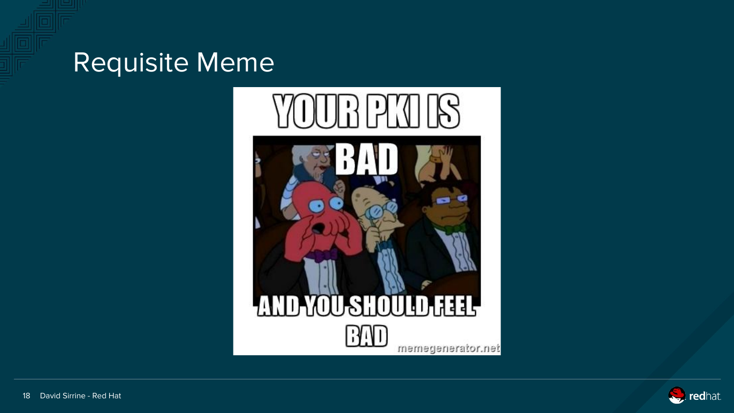#### Requisite Meme



# **AND YOU SHOULD FEEL** RAD

memegenerator.net

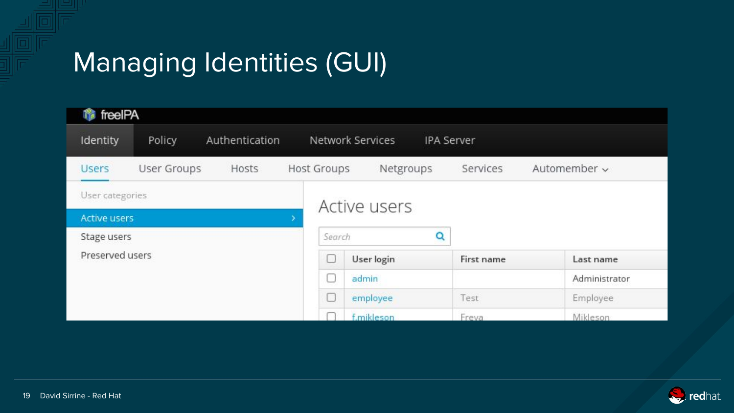# Managing Identities (GUI)

| <b>f</b> freeIPA    |                    |                |                    |                                       |            |               |  |  |  |  |
|---------------------|--------------------|----------------|--------------------|---------------------------------------|------------|---------------|--|--|--|--|
| Identity            | Policy             | Authentication |                    | Network Services<br><b>IPA Server</b> |            |               |  |  |  |  |
| <b>Users</b>        | <b>User Groups</b> | Hosts          | <b>Host Groups</b> | Netgroups                             | Services   | Automember ~  |  |  |  |  |
| User categories     |                    |                |                    | Active users                          |            |               |  |  |  |  |
| <b>Active users</b> |                    |                |                    |                                       |            |               |  |  |  |  |
| Stage users         |                    |                |                    | Search                                | Q          |               |  |  |  |  |
| Preserved users     |                    |                | С                  | User login                            | First name | Last name     |  |  |  |  |
|                     |                    |                |                    | admin                                 |            | Administrator |  |  |  |  |
|                     |                    |                |                    | employee                              | Test       | Employee      |  |  |  |  |
|                     |                    |                |                    | f.mikleson                            | Freva      | Mikleson      |  |  |  |  |

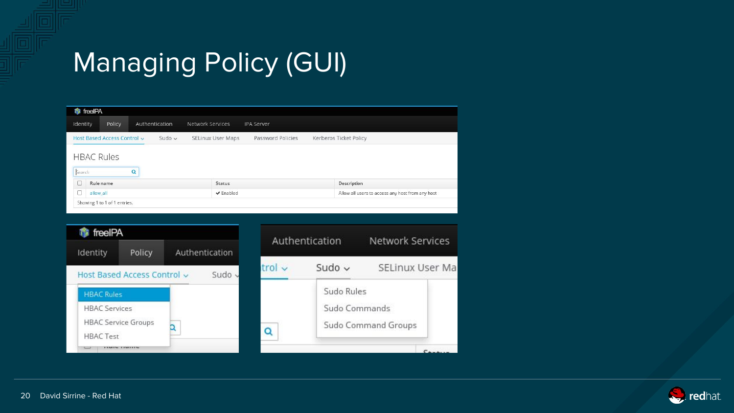# Managing Policy (GUI)

|                                  | <b>命</b> freeIPA                           |        |  |                |                  |                   |                                                  |  |  |  |
|----------------------------------|--------------------------------------------|--------|--|----------------|------------------|-------------------|--------------------------------------------------|--|--|--|
| Identity                         |                                            | Policy |  | Authentication | Network Services | <b>IPA Server</b> |                                                  |  |  |  |
| Host Based Access Control ~      | Kerberos Ticket Policy                     |        |  |                |                  |                   |                                                  |  |  |  |
| <b>HBAC Rules</b><br>Search<br>Q |                                            |        |  |                |                  |                   |                                                  |  |  |  |
| $\Box$                           | Rule name                                  |        |  |                | <b>Status</b>    |                   | Description                                      |  |  |  |
| O                                | $\blacktriangleright$ Enabled<br>allow all |        |  |                |                  |                   | Allow all users to access any host from any host |  |  |  |
|                                  | Showing 1 to 1 of 1 entries.               |        |  |                |                  |                   |                                                  |  |  |  |



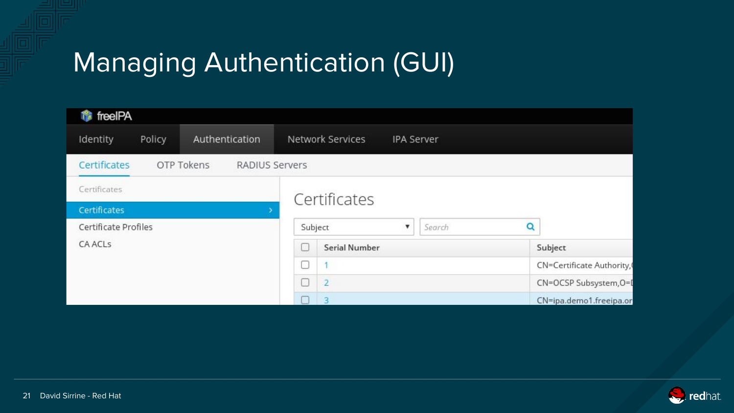# Managing Authentication (GUI)

| fireelPA             |                              |                      |                         |                           |                   |                        |                         |  |
|----------------------|------------------------------|----------------------|-------------------------|---------------------------|-------------------|------------------------|-------------------------|--|
| Identity<br>Policy   | Authentication               |                      | Network Services        |                           | <b>IPA Server</b> |                        |                         |  |
| Certificates         | OTP Tokens<br>RADIUS Servers |                      |                         |                           |                   |                        |                         |  |
| Certificates         |                              |                      | Certificates            |                           |                   |                        |                         |  |
| Certificates         |                              |                      |                         |                           |                   |                        |                         |  |
| Certificate Profiles | Subject                      |                      | $\overline{\mathbf{v}}$ | Search                    | Q                 |                        |                         |  |
| <b>CA ACLS</b>       | ш                            | <b>Serial Number</b> |                         |                           |                   | Subject                |                         |  |
|                      | ⊓                            |                      |                         | CN=Certificate Authority, |                   |                        |                         |  |
|                      | $\Box$                       | $\overline{2}$       |                         |                           |                   | CN=OCSP Subsystem, O=L |                         |  |
|                      |                              |                      | R                       |                           |                   |                        | CN=ipa.demo1.freeipa.or |  |

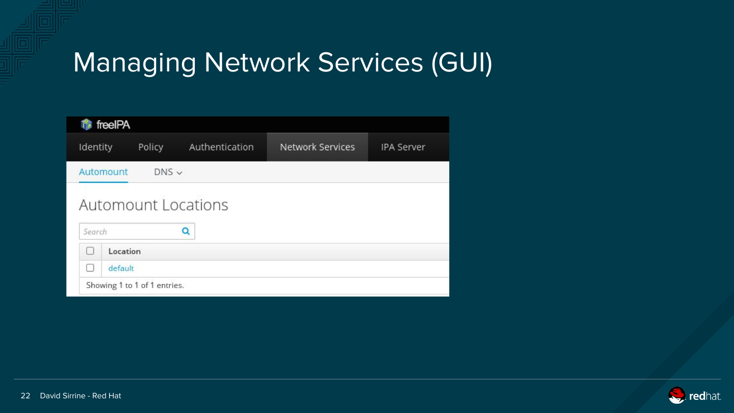# Managing Network Services (GUI)

|           | freeIPA                    |                |                         |                   |
|-----------|----------------------------|----------------|-------------------------|-------------------|
| Identity  | Policy                     | Authentication | <b>Network Services</b> | <b>IPA Server</b> |
| Automount | $DNS \vee$                 |                |                         |                   |
|           | <b>Automount Locations</b> |                |                         |                   |
|           |                            | Q              |                         |                   |
| Search    |                            |                |                         |                   |
|           | Location                   |                |                         |                   |
|           |                            |                |                         |                   |

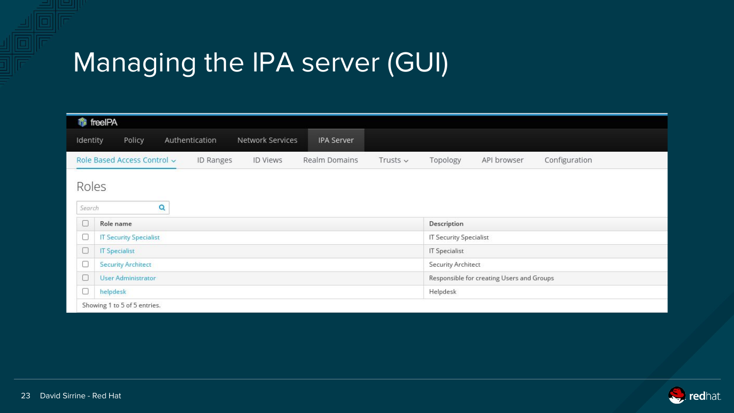# Managing the IPA server (GUI)

|                 | <b>命</b> freeIPA              |   |                  |                  |                      |               |                      |                                           |               |  |  |
|-----------------|-------------------------------|---|------------------|------------------|----------------------|---------------|----------------------|-------------------------------------------|---------------|--|--|
| Identity        | Policy                        |   | Authentication   | Network Services | IPA Server           |               |                      |                                           |               |  |  |
|                 | Role Based Access Control ~   |   | <b>ID Ranges</b> | <b>ID Views</b>  | <b>Realm Domains</b> | Trusts $\sim$ | Topology             | API browser                               | Configuration |  |  |
| Roles<br>Search |                               | Q |                  |                  |                      |               |                      |                                           |               |  |  |
| O               | Role name                     |   |                  |                  |                      |               |                      | Description                               |               |  |  |
| O               | <b>IT Security Specialist</b> |   |                  |                  |                      |               |                      | <b>IT Security Specialist</b>             |               |  |  |
| O               | <b>IT Specialist</b>          |   |                  |                  |                      |               | <b>IT Specialist</b> |                                           |               |  |  |
| c               | <b>Security Architect</b>     |   |                  |                  |                      |               | Security Architect   |                                           |               |  |  |
| $\Box$          | <b>User Administrator</b>     |   |                  |                  |                      |               |                      | Responsible for creating Users and Groups |               |  |  |
| C               | helpdesk                      |   |                  |                  |                      | Helpdesk      |                      |                                           |               |  |  |
|                 | Showing 1 to 5 of 5 entries.  |   |                  |                  |                      |               |                      |                                           |               |  |  |

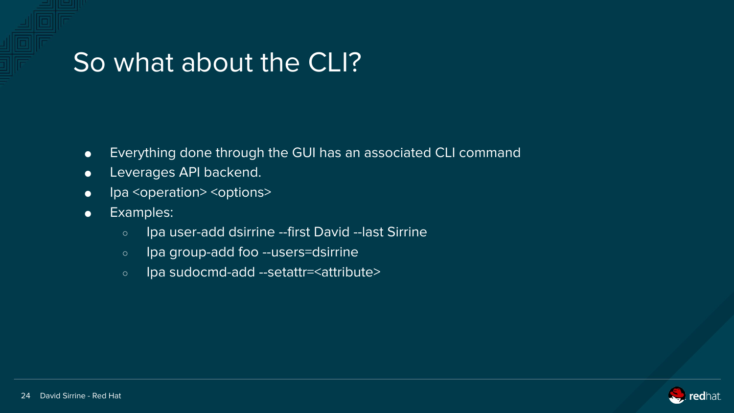#### So what about the CLI?

- Everything done through the GUI has an associated CLI command
- **•** Leverages API backend.
- Ipa <operation> <options>
- Examples:
	- Ipa user-add dsirrine --first David --last Sirrine
	- Ipa group-add foo --users=dsirrine
	- Ipa sudocmd-add --setattr=<attribute>

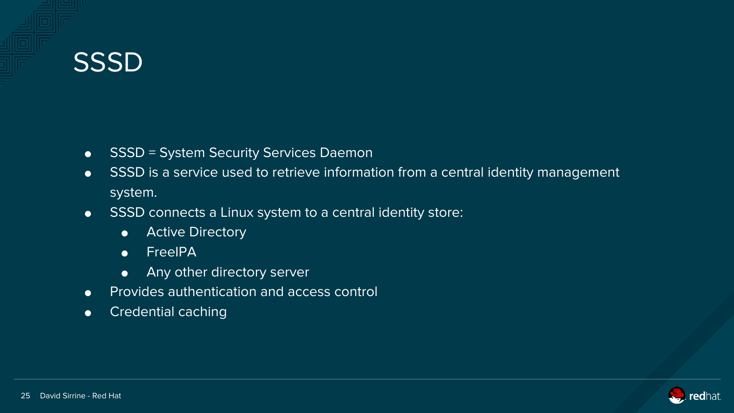### **SSSD**

- SSSD = System Security Services Daemon
- SSSD is a service used to retrieve information from a central identity management system.
- SSSD connects a Linux system to a central identity store:
	- Active Directory
	- FreeIPA
	- Any other directory server
- Provides authentication and access control
- Credential caching

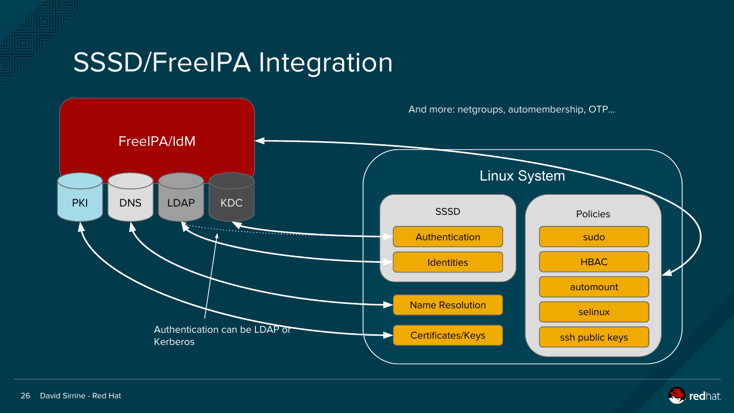#### SSSD/FreeIPA Integration



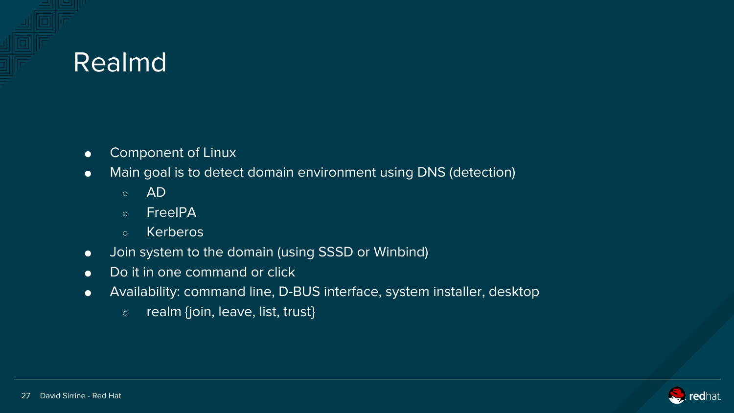### Realmd

- Component of Linux
- Main goal is to detect domain environment using DNS (detection)
	- AD
	- FreeIPA
	- Kerberos
- Join system to the domain (using SSSD or Winbind)
- Do it in one command or click
- Availability: command line, D-BUS interface, system installer, desktop
	- realm {join, leave, list, trust}

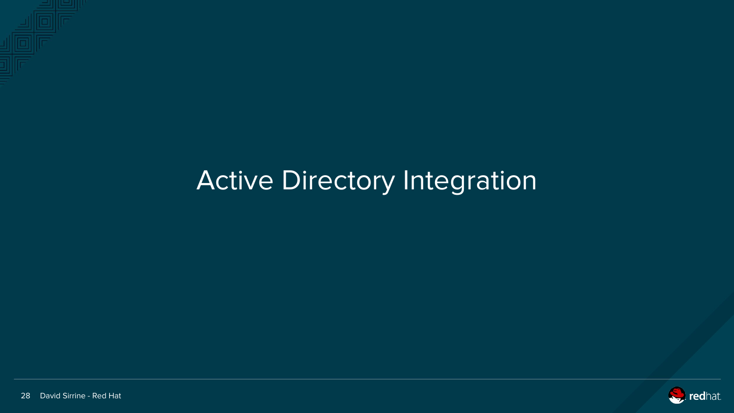

# Active Directory Integration

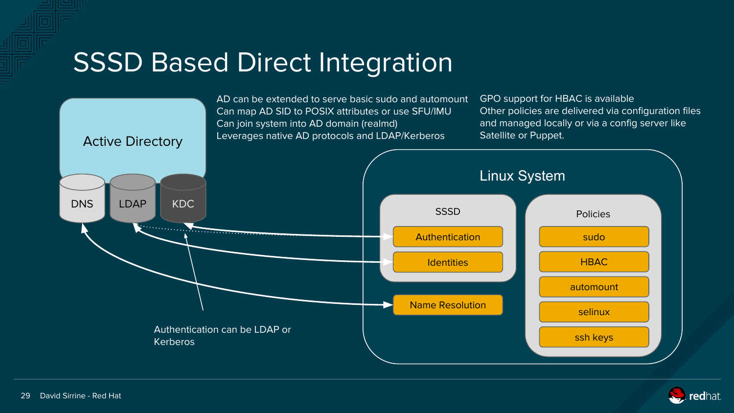#### SSSD Based Direct Integration

AD can be extended to serve basic sudo and automount GPO support for HBAC is available Other policies are delivered via configuration files Can map AD SID to POSIX attributes or use SFU/IMU Can join system into AD domain (realmd) and managed locally or via a config server like Satellite or Puppet.Leverages native AD protocols and LDAP/Kerberos Active Directory Linux System DNS LDAP KDC SSSD **Policies** . . . . . . . . . . . . . . . . . Authentication sudo HBAC **Identities** automount Name Resolution selinux Authentication can be LDAP or ssh keys Kerberos

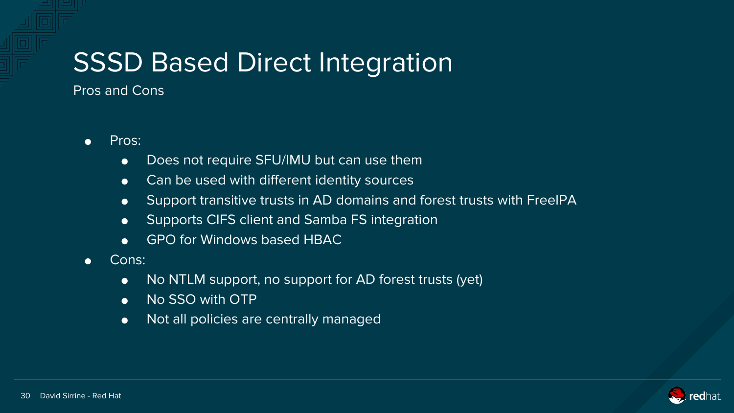# SSSD Based Direct Integration

Pros and Cons

- Pros:
	- Does not require SFU/IMU but can use them
	- Can be used with different identity sources
	- Support transitive trusts in AD domains and forest trusts with FreeIPA
	- Supports CIFS client and Samba FS integration
	- GPO for Windows based HBAC
- Cons:
	- No NTLM support, no support for AD forest trusts (yet)
	- No SSO with OTP
	- Not all policies are centrally managed

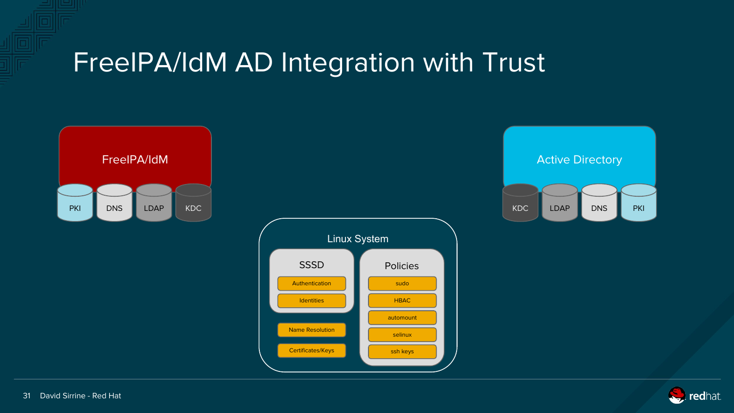





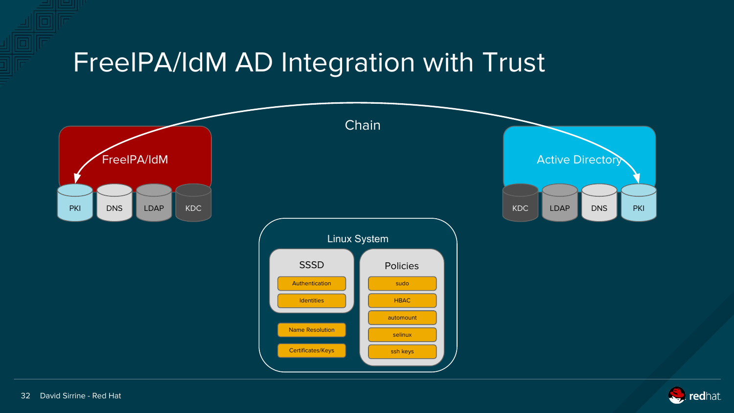

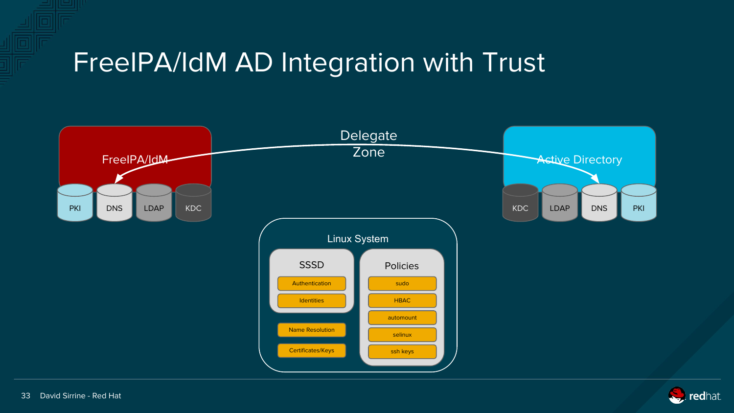

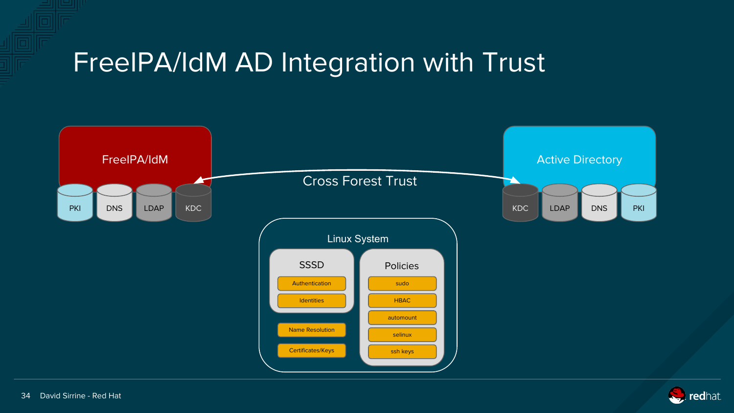

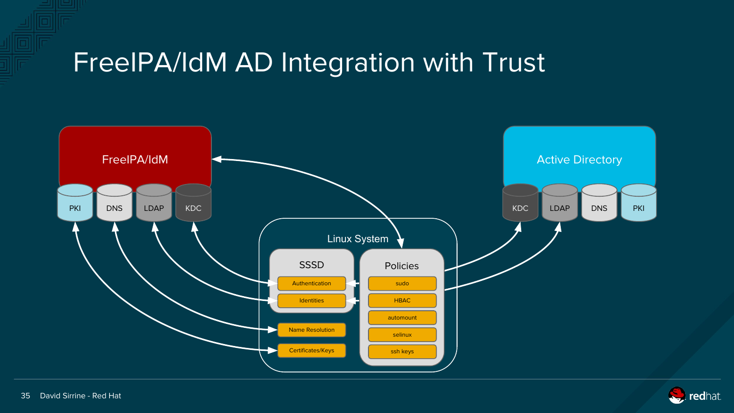

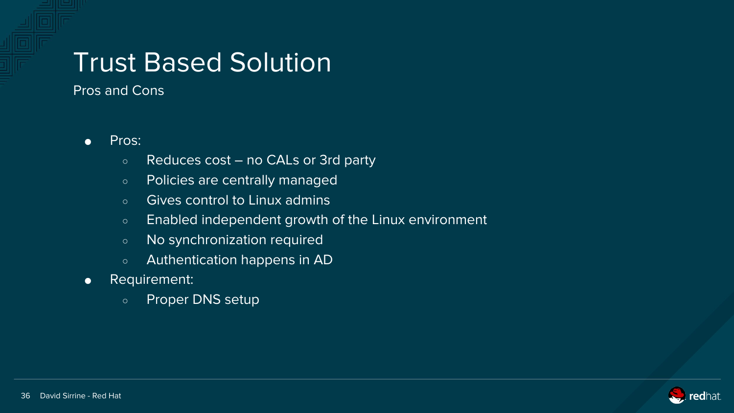#### Trust Based Solution

Pros and Cons

- Pros:
	- Reduces cost no CALs or 3rd party
	- o Policies are centrally managed
	- Gives control to Linux admins
	- Enabled independent growth of the Linux environment
	- No synchronization required
	- Authentication happens in AD
- Requirement:
	- Proper DNS setup

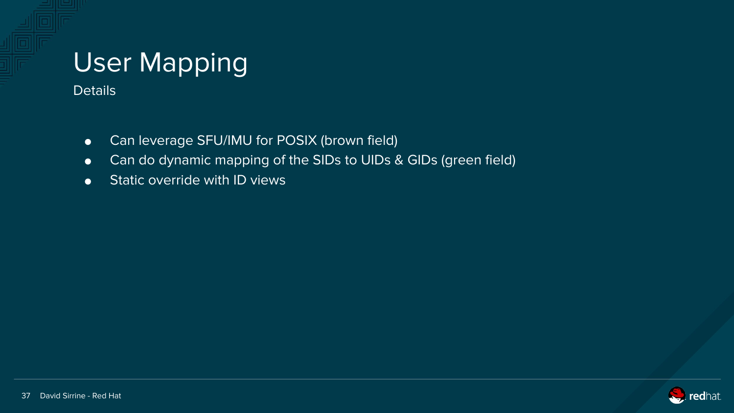# User Mapping

**Details** 

- Can leverage SFU/IMU for POSIX (brown field)
- Can do dynamic mapping of the SIDs to UIDs & GIDs (green field)
- **•** Static override with ID views

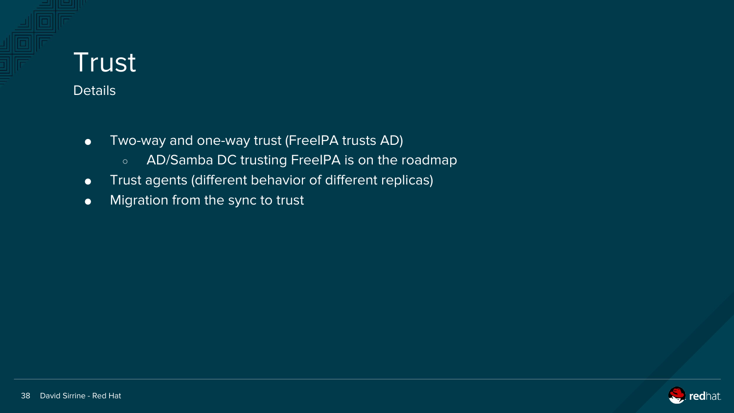# **Trust**

- **Details** 
	- Two-way and one-way trust (FreeIPA trusts AD)
		- AD/Samba DC trusting FreeIPA is on the roadmap
	- Trust agents (different behavior of different replicas)
	- Migration from the sync to trust

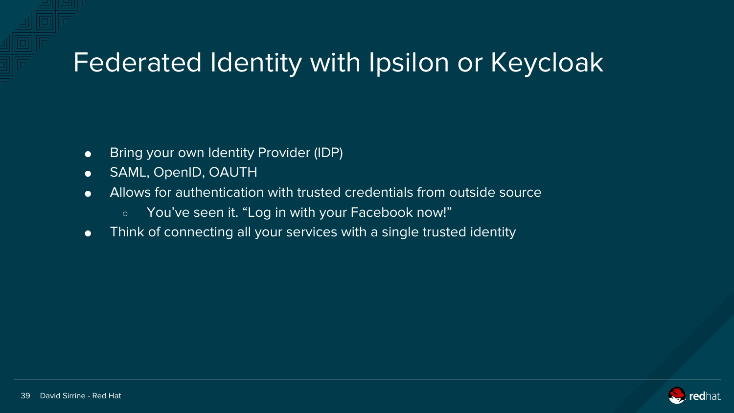#### Federated Identity with Ipsilon or Keycloak

- Bring your own Identity Provider (IDP)
- SAML, OpenID, OAUTH
- Allows for authentication with trusted credentials from outside source
	- You've seen it. "Log in with your Facebook now!"
- Think of connecting all your services with a single trusted identity

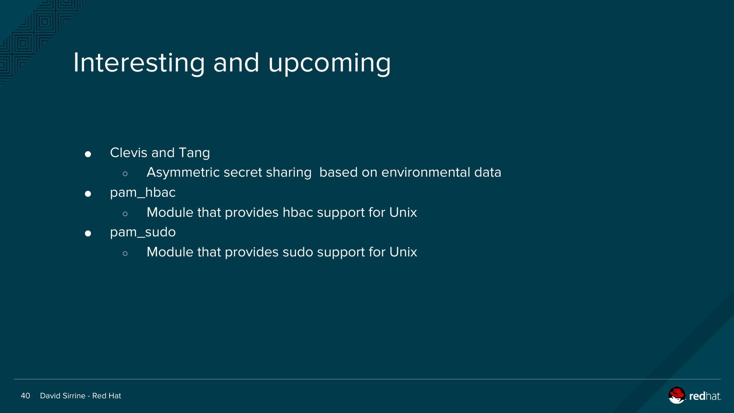### Interesting and upcoming

- Clevis and Tang
	- Asymmetric secret sharing based on environmental data
- pam\_hbac
	- Module that provides hbac support for Unix
- pam\_sudo
	- Module that provides sudo support for Unix

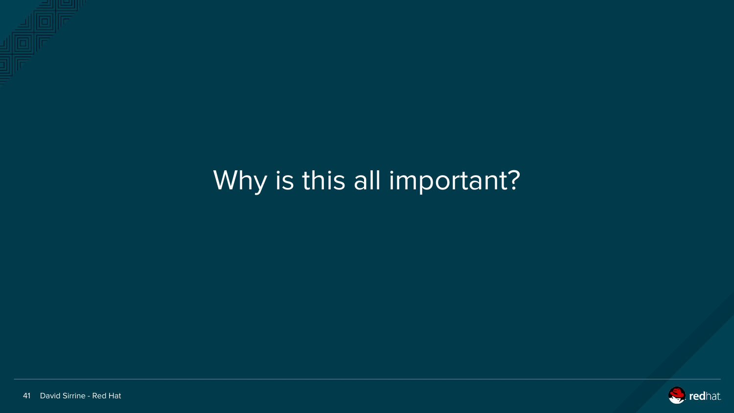

# Why is this all important?

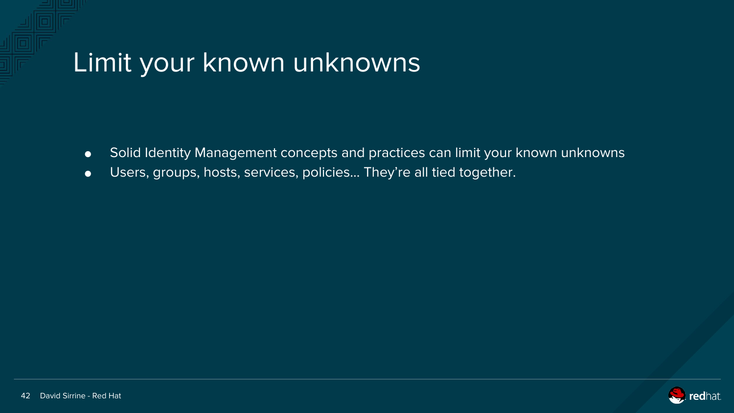#### Limit your known unknowns

- Solid Identity Management concepts and practices can limit your known unknowns
- Users, groups, hosts, services, policies… They're all tied together.

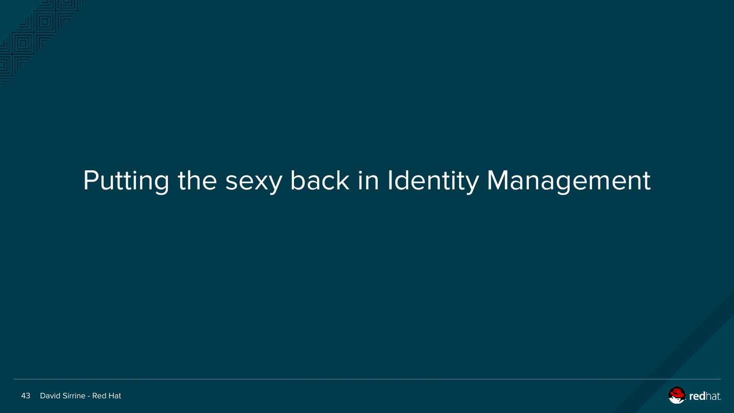# Putting the sexy back in Identity Management

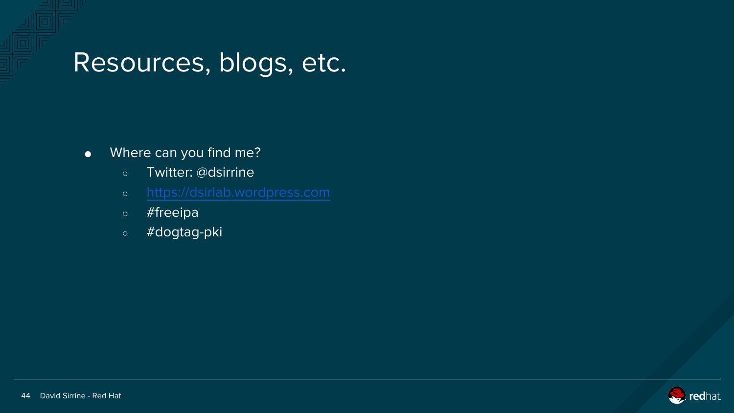#### Resources, blogs, etc.

- Where can you find me?
	- Twitter: @dsirrine
	-
	- #freeipa
	- #dogtag-pki

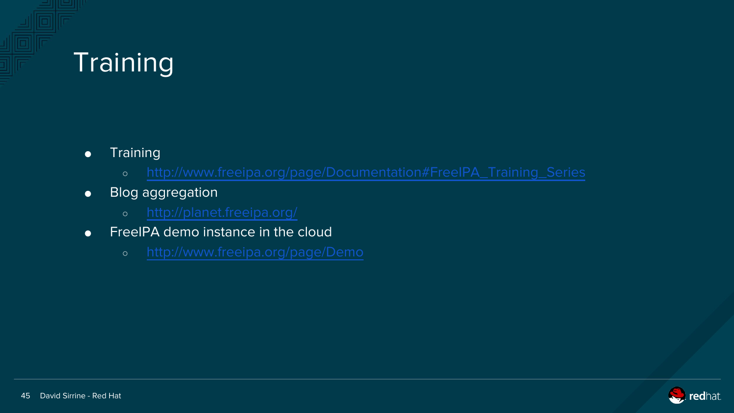### **Training**

- Training
	-
- Blog aggregation
	-
- **•** FreeIPA demo instance in the cloud
	-

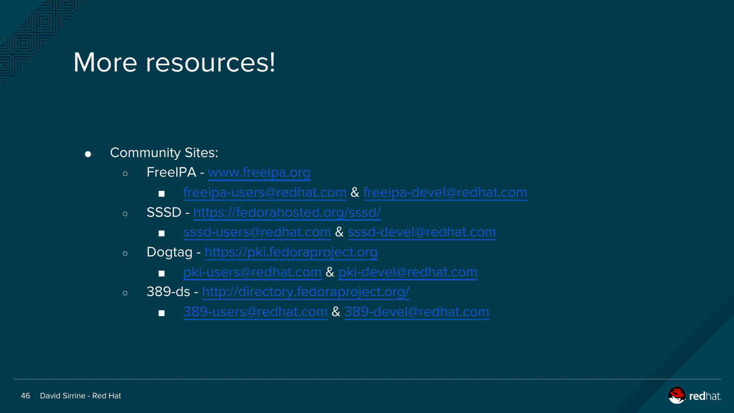#### More resources!

- Community Sites:
	- FreeIPA - [www.freeipa.org](http://www.freeipa.org)
		- [freeipa-users@redhat.com](mailto:freeipa-users@redhat.com) & [freeipa-devel@redhat.com](mailto:freeipa-devel@redhat.com)
	- SSSD <https://fedorahosted.org/sssd/>
		- [sssd-users@redhat.com](mailto:sssd-users@redhat.com) & [sssd-devel@redhat.com](mailto:sssd-devel@redhat.com)
	- Dogtag <https://pki.fedoraproject.org>
		- [pki-users@redhat.com](mailto:pki-users@redhat.com) & [pki-devel@redhat.com](mailto:pki-devel@redhat.com)
	- o 389-ds -<http://directory.fedoraproject.org/>
		- [389-users@redhat.com](mailto:389-users@redhat.com) & [389-devel@redhat.com](mailto:389-devel@redhat.com)

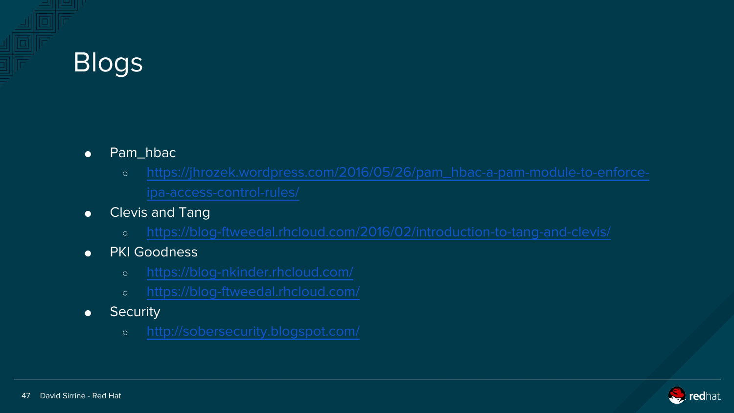# Blogs

- Pam\_hbac
	-
- Clevis and Tang
	-
- PKI Goodness
	-
	-
- Security
	-